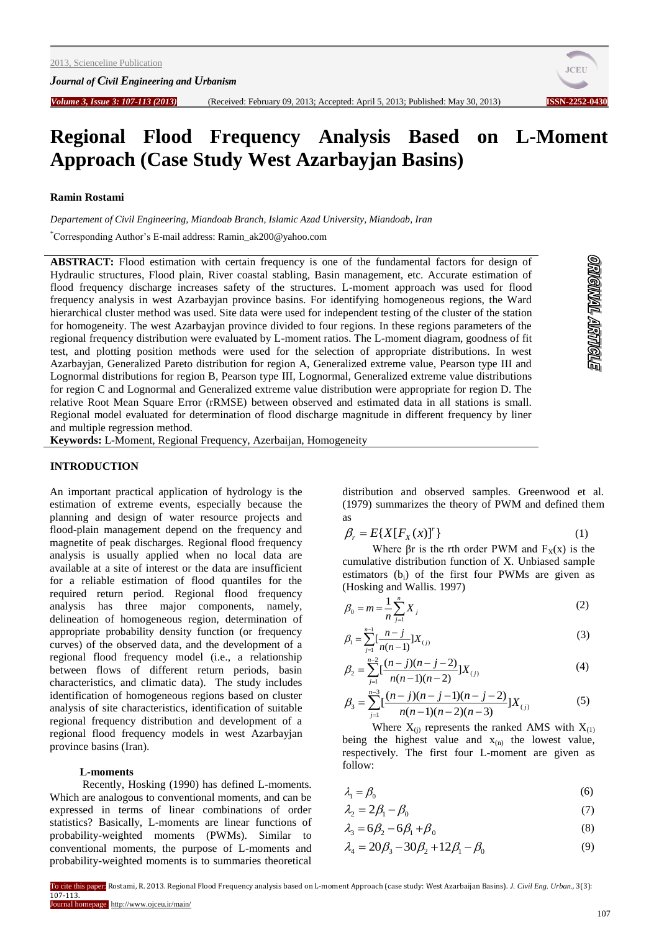*Journal of Civil Engineering and Urbanism*



**STONARY TRANGICO** 

# **Regional Flood Frequency Analysis Based on L-Moment Approach (Case Study West Azarbayjan Basins)**

#### **Ramin Rostami**

*Departement of Civil Engineering, Miandoab Branch, Islamic Azad University, Miandoab, Iran*

\*Corresponding Author's E-mail address: Ramin\_ak200@yahoo.com

ABSTRACT: Flood estimation with certain frequency is one of the fundamental factors for design of Hydraulic structures, Flood plain, River coastal stabling, Basin management, etc. Accurate estimation of flood frequency discharge increases safety of the structures. L-moment approach was used for flood frequency analysis in west Azarbayjan province basins. For identifying homogeneous regions, the Ward hierarchical cluster method was used. Site data were used for independent testing of the cluster of the station for homogeneity. The west Azarbayjan province divided to four regions. In these regions parameters of the regional frequency distribution were evaluated by L-moment ratios. The L-moment diagram, goodness of fit test, and plotting position methods were used for the selection of appropriate distributions. In west Azarbayjan, Generalized Pareto distribution for region A, Generalized extreme value, Pearson type III and Lognormal distributions for region B, Pearson type III, Lognormal, Generalized extreme value distributions for region C and Lognormal and Generalized extreme value distribution were appropriate for region D. The relative Root Mean Square Error (rRMSE) between observed and estimated data in all stations is small. Regional model evaluated for determination of flood discharge magnitude in different frequency by liner and multiple regression method.

**Keywords:** L-Moment, Regional Frequency, Azerbaijan, Homogeneity

# **INTRODUCTION**

An important practical application of hydrology is the estimation of extreme events, especially because the planning and design of water resource projects and flood-plain management depend on the frequency and magnetite of peak discharges. Regional flood frequency analysis is usually applied when no local data are available at a site of interest or the data are insufficient for a reliable estimation of flood quantiles for the required return period. Regional flood frequency analysis has three major components, namely, delineation of homogeneous region, determination of appropriate probability density function (or frequency curves) of the observed data, and the development of a regional flood frequency model (i.e., a relationship between flows of different return periods, basin characteristics, and climatic data). The study includes identification of homogeneous regions based on cluster analysis of site characteristics, identification of suitable regional frequency distribution and development of a regional flood frequency models in west Azarbayjan province basins (Iran).

#### **L-moments**

Recently, Hosking (1990) has defined L-moments. Which are analogous to conventional moments, and can be expressed in terms of linear combinations of order statistics? Basically, L-moments are linear functions of probability-weighted moments (PWMs). Similar to conventional moments, the purpose of L-moments and probability-weighted moments is to summaries theoretical

distribution and observed samples. Greenwood et al. (1979) summarizes the theory of PWM and defined them as

$$
\beta_r = E\{X[F_X(x)]'\}\tag{1}
$$

Where  $\beta r$  is the rth order PWM and  $F_X(x)$  is the cumulative distribution function of X. Unbiased sample estimators (bi) of the first four PWMs are given as (Hosking and Wallis. 1997)

$$
\beta_0 = m = \frac{1}{n} \sum_{j=1}^{n} X_j
$$
 (2)

$$
\beta_1 = \sum_{j=1}^{n-1} \left[ \frac{n-j}{n(n-1)} \right] X_{(j)} \tag{3}
$$

$$
\beta_2 = \sum_{j=1}^{n-2} \left[ \frac{(n-j)(n-j-2)}{n(n-1)(n-2)} \right] X_{(j)} \tag{4}
$$

$$
\beta_3 = \sum_{j=1}^{n-3} \left[ \frac{(n-j)(n-j-1)(n-j-2)}{n(n-1)(n-2)(n-3)} \right] X_{(j)} \tag{5}
$$

Where  $X_{(i)}$  represents the ranked AMS with  $X_{(1)}$ being the highest value and  $x_{(n)}$  the lowest value, respectively. The first four L-moment are given as follow:

$$
\lambda_1 = \beta_0 \tag{6}
$$

$$
\lambda_2 = 2\beta_1 - \beta_0 \tag{7}
$$

$$
\lambda_3 = 6\beta_2 - 6\beta_1 + \beta_0 \tag{8}
$$

$$
\lambda_4 = 20\beta_3 - 30\beta_2 + 12\beta_1 - \beta_0 \tag{9}
$$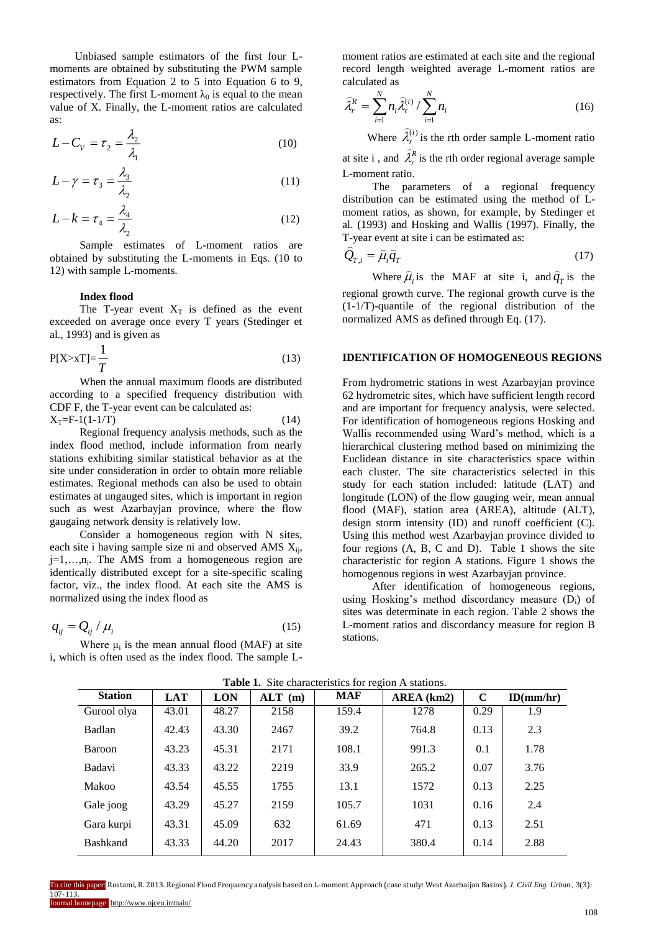Unbiased sample estimators of the first four Lmoments are obtained by substituting the PWM sample estimators from Equation 2 to 5 into Equation 6 to 9, respectively. The first L-moment  $\lambda_0$  is equal to the mean value of X. Finally, the L-moment ratios are calculated as:

$$
L - C_V = \tau_2 = \frac{\lambda_2}{\lambda_1} \tag{10}
$$

$$
L - \gamma = \tau_3 = \frac{\lambda_3}{\lambda_2} \tag{11}
$$

$$
L - k = \tau_4 = \frac{\lambda_4}{\lambda_2} \tag{12}
$$

Sample estimates of L-moment ratios are obtained by substituting the L-moments in Eqs. (10 to 12) with sample L-moments.

## **Index flood**

The T-year event  $X_T$  is defined as the event exceeded on average once every T years (Stedinger et al., 1993) and is given as

$$
P[X > xT] = \frac{1}{T}
$$
 (13)

When the annual maximum floods are distributed according to a specified frequency distribution with CDF F, the T-year event can be calculated as:  $X_T = F-1(1-1/T)$  (14)

Regional frequency analysis methods, such as the index flood method, include information from nearly stations exhibiting similar statistical behavior as at the site under consideration in order to obtain more reliable estimates. Regional methods can also be used to obtain estimates at ungauged sites, which is important in region such as west Azarbayjan province, where the flow gaugaing network density is relatively low.

Consider a homogeneous region with N sites, each site i having sample size ni and observed AMS  $X_{ii}$ ,  $j=1,...,n_i$ . The AMS from a homogeneous region are identically distributed except for a site-specific scaling factor, viz., the index flood. At each site the AMS is normalized using the index flood as

$$
q_{ij} = Q_{ij} / \mu_i \tag{15}
$$

Where  $\mu_i$  is the mean annual flood (MAF) at site i, which is often used as the index flood. The sample L-

moment ratios are estimated at each site and the regional record length weighted average L-moment ratios are calculated as

$$
\widehat{\lambda}_r^R = \sum_{i=1}^N n_i \widehat{\lambda}_r^{(i)} / \sum_{i=1}^N n_i
$$
 (16)

Where  $\hat{\lambda}_r^{(i)}$  is the rth order sample L-moment ratio

at site i, and  $\hat{\lambda}_r^R$  is the rth order regional average sample L-moment ratio.

The parameters of a regional frequency distribution can be estimated using the method of Lmoment ratios, as shown, for example, by Stedinger et al. (1993) and Hosking and Wallis (1997). Finally, the T-year event at site i can be estimated as:

$$
Q_{T,i} = \hat{\mu}_i \hat{q}_T \tag{17}
$$

Where  $\hat{\mu}_i$  is the MAF at site i, and  $\hat{q}_T$  is the regional growth curve. The regional growth curve is the (1-1/T)-quantile of the regional distribution of the normalized AMS as defined through Eq. (17).

## **IDENTIFICATION OF HOMOGENEOUS REGIONS**

From hydrometric stations in west Azarbayjan province 62 hydrometric sites, which have sufficient length record and are important for frequency analysis, were selected. For identification of homogeneous regions Hosking and Wallis recommended using Ward's method, which is a hierarchical clustering method based on minimizing the Euclidean distance in site characteristics space within each cluster. The site characteristics selected in this study for each station included: latitude (LAT) and longitude (LON) of the flow gauging weir, mean annual flood (MAF), station area (AREA), altitude (ALT), design storm intensity (ID) and runoff coefficient (C). Using this method west Azarbayjan province divided to four regions (A, B, C and D). Table 1 shows the site characteristic for region A stations. Figure 1 shows the homogenous regions in west Azarbayjan province.

After identification of homogeneous regions, using Hosking's method discordancy measure  $(D_i)$  of sites was determinate in each region. Table 2 shows the L-moment ratios and discordancy measure for region B stations.

| <b>Table 1.</b> Site characteristics for region A stations. |            |            |           |            |            |             |           |  |
|-------------------------------------------------------------|------------|------------|-----------|------------|------------|-------------|-----------|--|
| <b>Station</b>                                              | <b>LAT</b> | <b>LON</b> | $ALT$ (m) | <b>MAF</b> | AREA (km2) | $\mathbf C$ | ID(mm/hr) |  |
| Gurool olya                                                 | 43.01      | 48.27      | 2158      | 159.4      | 1278       | 0.29        | 1.9       |  |
| Badlan                                                      | 42.43      | 43.30      | 2467      | 39.2       | 764.8      | 0.13        | 2.3       |  |
| <b>Baroon</b>                                               | 43.23      | 45.31      | 2171      | 108.1      | 991.3      | 0.1         | 1.78      |  |
| Badavi                                                      | 43.33      | 43.22      | 2219      | 33.9       | 265.2      | 0.07        | 3.76      |  |
| Makoo                                                       | 43.54      | 45.55      | 1755      | 13.1       | 1572       | 0.13        | 2.25      |  |
| Gale joog                                                   | 43.29      | 45.27      | 2159      | 105.7      | 1031       | 0.16        | 2.4       |  |
| Gara kurpi                                                  | 43.31      | 45.09      | 632       | 61.69      | 471        | 0.13        | 2.51      |  |
| <b>Bashkand</b>                                             | 43.33      | 44.20      | 2017      | 24.43      | 380.4      | 0.14        | 2.88      |  |
|                                                             |            |            |           |            |            |             |           |  |

**Table 1.** Site characteristics for region A stati

To cite this paper: Rostami, R. 2013. Regional Flood Frequency analysis based on L-moment Approach (case study: West Azarbaijan Basins). *J. Civil Eng. Urban.,* 3(3): 107-113. Journal homepage: http://www.ojceu.ir/main/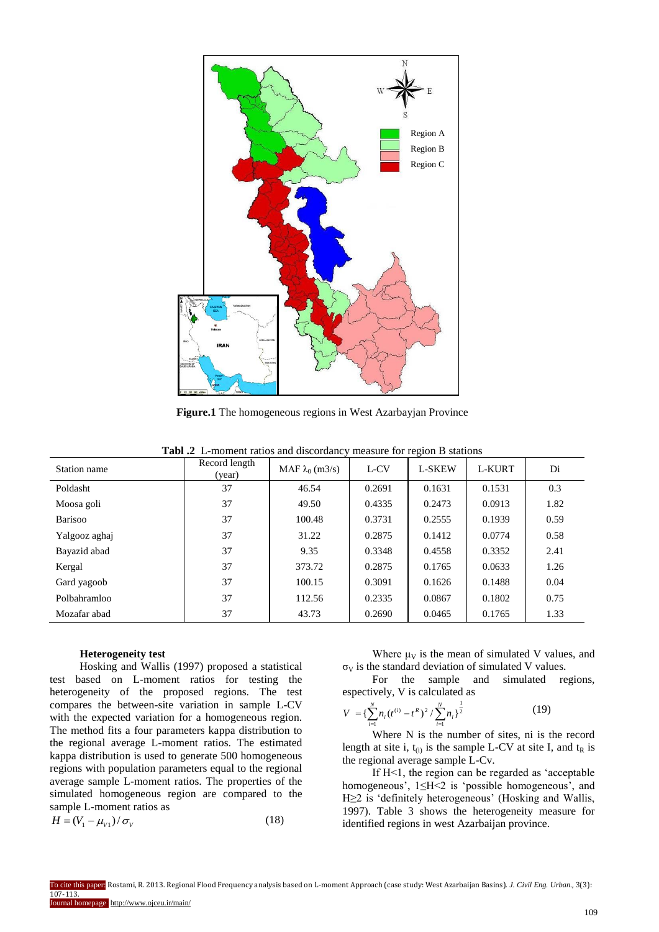

**Figure.1** The homogeneous regions in West Azarbayjan Province

| Station name  | Record length<br>(year) | MAF $\lambda_0$ (m3/s) | L-CV   | <b>L-SKEW</b> | L-KURT | Di   |
|---------------|-------------------------|------------------------|--------|---------------|--------|------|
| Poldasht      | 37                      | 46.54                  | 0.2691 | 0.1631        | 0.1531 | 0.3  |
| Moosa goli    | 37                      | 49.50                  | 0.4335 | 0.2473        | 0.0913 | 1.82 |
| Barisoo       | 37                      | 100.48                 | 0.3731 | 0.2555        | 0.1939 | 0.59 |
| Yalgooz aghaj | 37                      | 31.22                  | 0.2875 | 0.1412        | 0.0774 | 0.58 |
| Bayazid abad  | 37                      | 9.35                   | 0.3348 | 0.4558        | 0.3352 | 2.41 |
| Kergal        | 37                      | 373.72                 | 0.2875 | 0.1765        | 0.0633 | 1.26 |
| Gard yagoob   | 37                      | 100.15                 | 0.3091 | 0.1626        | 0.1488 | 0.04 |
| Polbahramloo  | 37                      | 112.56                 | 0.2335 | 0.0867        | 0.1802 | 0.75 |
| Mozafar abad  | 37                      | 43.73                  | 0.2690 | 0.0465        | 0.1765 | 1.33 |

**Tabl .2** L-moment ratios and discordancy measure for region B stations

#### **Heterogeneity test**

Hosking and Wallis (1997) proposed a statistical test based on L-moment ratios for testing the heterogeneity of the proposed regions. The test compares the between-site variation in sample L-CV with the expected variation for a homogeneous region. The method fits a four parameters kappa distribution to the regional average L-moment ratios. The estimated kappa distribution is used to generate 500 homogeneous regions with population parameters equal to the regional average sample L-moment ratios. The properties of the simulated homogeneous region are compared to the sample L-moment ratios as

$$
H = (V_1 - \mu_{V1})/\sigma_V \tag{18}
$$

Where  $\mu_V$  is the mean of simulated V values, and

 $\sigma_V$  is the standard deviation of simulated V values.<br>For the sample and simulated re For the sample and simulated regions, espectively, V is calculated as

$$
V = \left\{ \sum_{i=1}^{N} n_i (t^{(i)} - t^R)^2 / \sum_{i=1}^{N} n_i \right\}^{\frac{1}{2}}
$$
(19)

Where N is the number of sites, ni is the record length at site i,  $t_{(i)}$  is the sample L-CV at site I, and  $t_R$  is the regional average sample L-Cv.

If H<1, the region can be regarded as 'acceptable homogeneous', 1≤H<2 is 'possible homogeneous', and H≥2 is 'definitely heterogeneous' (Hosking and Wallis, 1997). Table 3 shows the heterogeneity measure for identified regions in west Azarbaijan province.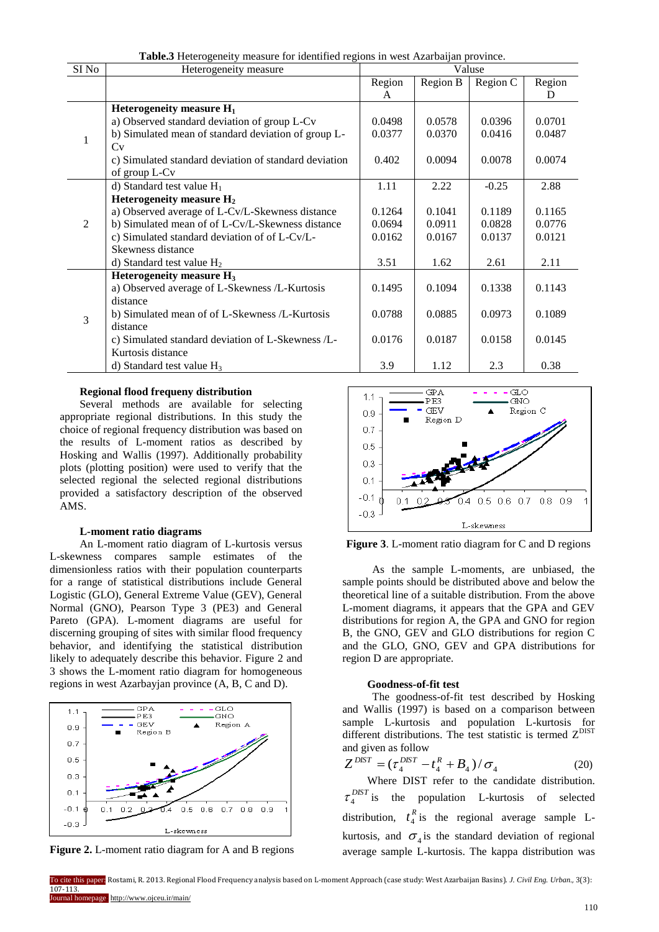| SI No | Heterogeneity measure                                 | Valuse<br>Region C<br>Region B<br>Region<br>A<br>0.0498<br>0.0578<br>0.0396<br>0.0377<br>0.0370<br>0.0416<br>0.0078<br>0.402<br>0.0094<br>1.11<br>2.22<br>$-0.25$<br>0.1041<br>0.1189<br>0.1264<br>0.0911<br>0.0694<br>0.0828<br>0.0162<br>0.0167<br>0.0137 |        |        |        |
|-------|-------------------------------------------------------|-------------------------------------------------------------------------------------------------------------------------------------------------------------------------------------------------------------------------------------------------------------|--------|--------|--------|
|       |                                                       |                                                                                                                                                                                                                                                             |        |        | Region |
|       |                                                       |                                                                                                                                                                                                                                                             |        |        | D      |
|       | Heterogeneity measure $H_1$                           |                                                                                                                                                                                                                                                             |        |        |        |
|       | a) Observed standard deviation of group L-Cv          |                                                                                                                                                                                                                                                             |        |        | 0.0701 |
| 1     | b) Simulated mean of standard deviation of group L-   |                                                                                                                                                                                                                                                             |        |        | 0.0487 |
|       | Cv                                                    |                                                                                                                                                                                                                                                             |        |        |        |
|       | c) Simulated standard deviation of standard deviation |                                                                                                                                                                                                                                                             |        |        | 0.0074 |
|       | of group L-Cv                                         |                                                                                                                                                                                                                                                             |        |        |        |
|       | d) Standard test value $H_1$                          |                                                                                                                                                                                                                                                             |        |        | 2.88   |
|       | Heterogeneity measure $H_2$                           |                                                                                                                                                                                                                                                             |        |        |        |
|       | a) Observed average of L-Cv/L-Skewness distance       |                                                                                                                                                                                                                                                             |        |        | 0.1165 |
| 2     | b) Simulated mean of of L-Cv/L-Skewness distance      |                                                                                                                                                                                                                                                             |        |        | 0.0776 |
|       | c) Simulated standard deviation of of L-Cv/L-         |                                                                                                                                                                                                                                                             |        |        | 0.0121 |
|       | Skewness distance                                     |                                                                                                                                                                                                                                                             |        |        |        |
|       | d) Standard test value $H_2$                          | 3.51                                                                                                                                                                                                                                                        | 1.62   | 2.61   | 2.11   |
|       | Heterogeneity measure H <sub>3</sub>                  |                                                                                                                                                                                                                                                             |        |        |        |
|       | a) Observed average of L-Skewness /L-Kurtosis         | 0.1495                                                                                                                                                                                                                                                      | 0.1094 | 0.1338 | 0.1143 |
|       | distance                                              |                                                                                                                                                                                                                                                             |        |        |        |
| 3     | b) Simulated mean of of L-Skewness /L-Kurtosis        | 0.0788                                                                                                                                                                                                                                                      | 0.0885 | 0.0973 | 0.1089 |
|       | distance                                              |                                                                                                                                                                                                                                                             |        |        |        |
|       | c) Simulated standard deviation of L-Skewness /L-     | 0.0176                                                                                                                                                                                                                                                      | 0.0187 | 0.0158 | 0.0145 |
|       | Kurtosis distance                                     |                                                                                                                                                                                                                                                             |        |        |        |
|       | d) Standard test value $H_3$                          | 3.9                                                                                                                                                                                                                                                         | 1.12   | 2.3    | 0.38   |

**Table.3** Heterogeneity measure for identified regions in west Azarbaijan province.

## **Regional flood frequeny distribution**

Several methods are available for selecting appropriate regional distributions. In this study the choice of regional frequency distribution was based on the results of L-moment ratios as described by Hosking and Wallis (1997). Additionally probability plots (plotting position) were used to verify that the selected regional the selected regional distributions provided a satisfactory description of the observed AMS.

## **L-moment ratio diagrams**

An L-moment ratio diagram of L-kurtosis versus L-skewness compares sample estimates of the dimensionless ratios with their population counterparts for a range of statistical distributions include General Logistic (GLO), General Extreme Value (GEV), General Normal (GNO), Pearson Type 3 (PE3) and General Pareto (GPA). L-moment diagrams are useful for discerning grouping of sites with similar flood frequency behavior, and identifying the statistical distribution likely to adequately describe this behavior. Figure 2 and 3 shows the L-moment ratio diagram for homogeneous regions in west Azarbayjan province (A, B, C and D).



**Figure 2.** L-moment ratio diagram for A and B regions



**Figure 3**. L-moment ratio diagram for C and D regions

As the sample L-moments, are unbiased, the sample points should be distributed above and below the theoretical line of a suitable distribution. From the above L-moment diagrams, it appears that the GPA and GEV distributions for region A, the GPA and GNO for region B, the GNO, GEV and GLO distributions for region C and the GLO, GNO, GEV and GPA distributions for region D are appropriate.

#### **Goodness-of-fit test**

The goodness-of-fit test described by Hosking and Wallis (1997) is based on a comparison between sample L-kurtosis and population L-kurtosis for different distributions. The test statistic is termed  $Z<sup>DIST</sup>$ and given as follow

$$
Z^{DIST} = (\tau_4^{DIST} - t_4^R + B_4) / \sigma_4
$$
 (20)

Where DIST refer to the candidate distribution. *DIST*  $\tau_4^{DBI}$  is the population L-kurtosis of selected distribution,  $t_4^R$  is the regional average sample Lkurtosis, and  $\sigma_4$  is the standard deviation of regional average sample L-kurtosis. The kappa distribution was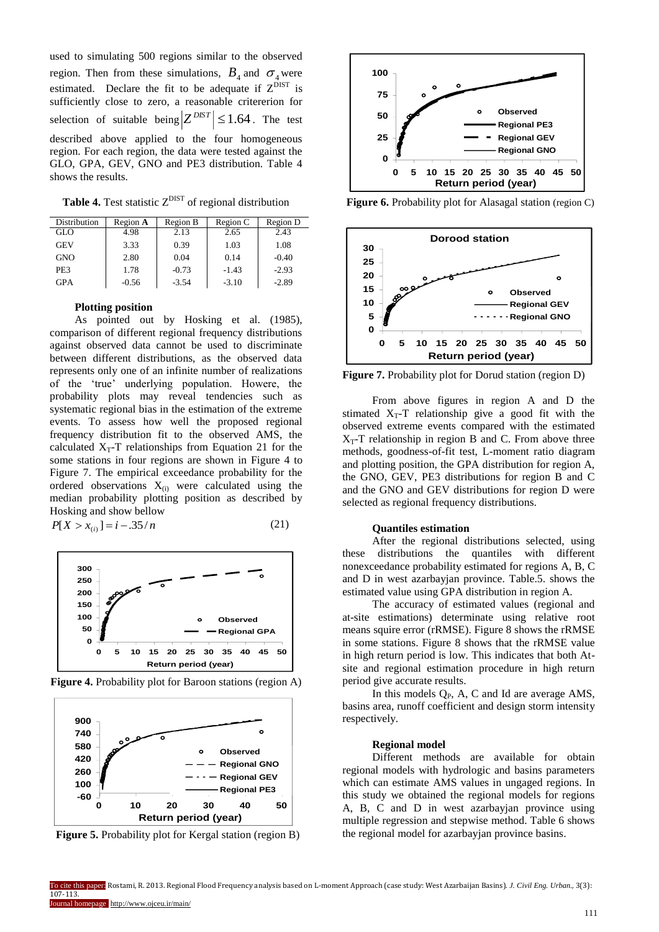used to simulating 500 regions similar to the observed region. Then from these simulations,  $B_4$  and  $\sigma_4$  were estimated. Declare the fit to be adequate if  $Z^{DIST}$  is sufficiently close to zero, a reasonable critererion for selection of suitable being  $|Z^{DIST}| \leq 1.64$ . The test described above applied to the four homogeneous region. For each region, the data were tested against the GLO, GPA, GEV, GNO and PE3 distribution. Table 4 shows the results.

**Table 4.** Test statistic  $Z<sup>DIST</sup>$  of regional distribution

| Distribution | Region A | Region B | Region C | Region D |
|--------------|----------|----------|----------|----------|
| GLO          | 4.98     | 2.13     | 2.65     | 2.43     |
| <b>GEV</b>   | 3.33     | 0.39     | 1.03     | 1.08     |
| <b>GNO</b>   | 2.80     | 0.04     | 0.14     | $-0.40$  |
| PE3          | 1.78     | $-0.73$  | $-1.43$  | $-2.93$  |
| <b>GPA</b>   | $-0.56$  | $-3.54$  | $-3.10$  | $-2.89$  |

# **Plotting position**

As pointed out by Hosking et al. (1985), comparison of different regional frequency distributions against observed data cannot be used to discriminate between different distributions, as the observed data represents only one of an infinite number of realizations of the 'true' underlying population. Howere, the probability plots may reveal tendencies such as systematic regional bias in the estimation of the extreme events. To assess how well the proposed regional frequency distribution fit to the observed AMS, the calculated  $X_T$ -T relationships from Equation 21 for the some stations in four regions are shown in Figure 4 to Figure 7. The empirical exceedance probability for the ordered observations  $X_{(i)}$  were calculated using the median probability plotting position as described by Hosking and show bellow

$$
P[X > x_{(i)}] = i - .35/n
$$
 (21)



**Figure 4.** Probability plot for Baroon stations (region A)







**Figure 6.** Probability plot for Alasagal station (region C)



**Figure 7.** Probability plot for Dorud station (region D)

From above figures in region A and D the stimated  $X_T$ -T relationship give a good fit with the observed extreme events compared with the estimated  $X_T$ -T relationship in region B and C. From above three methods, goodness-of-fit test, L-moment ratio diagram and plotting position, the GPA distribution for region A, the GNO, GEV, PE3 distributions for region B and C and the GNO and GEV distributions for region D were selected as regional frequency distributions.

## **Quantiles estimation**

After the regional distributions selected, using these distributions the quantiles with different nonexceedance probability estimated for regions A, B, C and D in west azarbayjan province. Table.5. shows the estimated value using GPA distribution in region A.

The accuracy of estimated values (regional and at-site estimations) determinate using relative root means squire error (rRMSE). Figure 8 shows the rRMSE in some stations. Figure 8 shows that the rRMSE value in high return period is low. This indicates that both Atsite and regional estimation procedure in high return period give accurate results.

In this models  $Q_P$ , A, C and Id are average AMS, basins area, runoff coefficient and design storm intensity respectively.

#### **Regional model**

Different methods are available for obtain regional models with hydrologic and basins parameters which can estimate AMS values in ungaged regions. In this study we obtained the regional models for regions A, B, C and D in west azarbayjan province using multiple regression and stepwise method. Table 6 shows the regional model for azarbayjan province basins.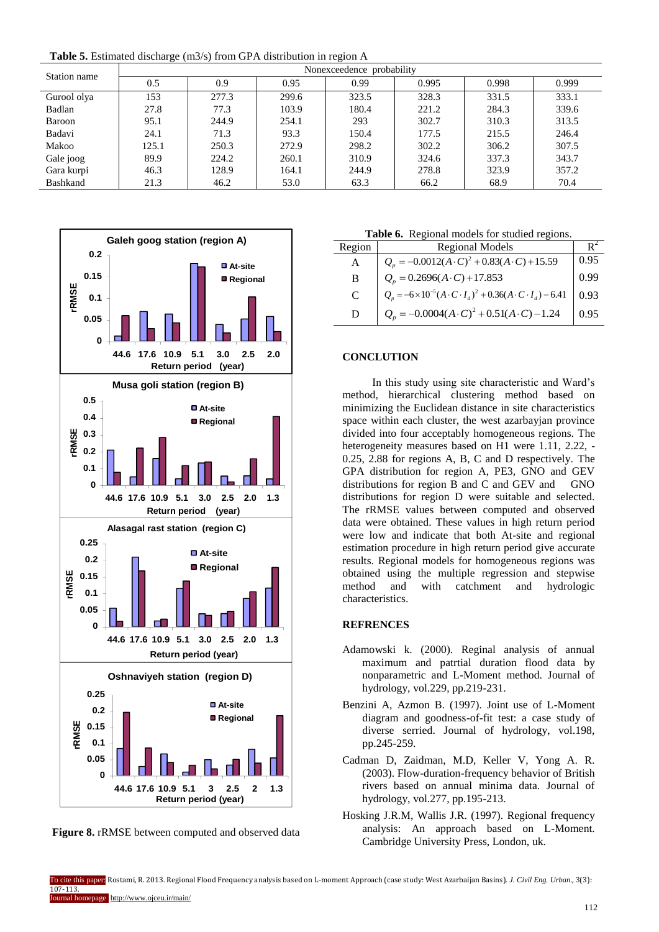**Table 5.** Estimated discharge (m3/s) from GPA distribution in region A

| Station name    | Nonexceedence probability |       |       |       |       |       |       |  |
|-----------------|---------------------------|-------|-------|-------|-------|-------|-------|--|
|                 | 0.5                       | 0.9   | 0.95  | 0.99  | 0.995 | 0.998 | 0.999 |  |
| Gurool olya     | 153                       | 277.3 | 299.6 | 323.5 | 328.3 | 331.5 | 333.1 |  |
| Badlan          | 27.8                      | 77.3  | 103.9 | 180.4 | 221.2 | 284.3 | 339.6 |  |
| Baroon          | 95.1                      | 244.9 | 254.1 | 293   | 302.7 | 310.3 | 313.5 |  |
| Badavi          | 24.1                      | 71.3  | 93.3  | 150.4 | 177.5 | 215.5 | 246.4 |  |
| Makoo           | 125.1                     | 250.3 | 272.9 | 298.2 | 302.2 | 306.2 | 307.5 |  |
| Gale joog       | 89.9                      | 224.2 | 260.1 | 310.9 | 324.6 | 337.3 | 343.7 |  |
| Gara kurpi      | 46.3                      | 128.9 | 164.1 | 244.9 | 278.8 | 323.9 | 357.2 |  |
| <b>Bashkand</b> | 21.3                      | 46.2  | 53.0  | 63.3  | 66.2  | 68.9  | 70.4  |  |



**Figure 8.** rRMSE between computed and observed data

**Table 6.** Regional models for studied regions.

|        | Tuble of Tregional models for stadied regions.                                        |      |
|--------|---------------------------------------------------------------------------------------|------|
| Region | <b>Regional Models</b>                                                                | ĸ٠   |
| A      | $Q_p = -0.0012(A \cdot C)^2 + 0.83(A \cdot C) + 15.59$                                | 0.95 |
| B      | $Q_n = 0.2696(A \cdot C) + 17.853$                                                    | 0.99 |
| C      | $Q_p = -6 \times 10^{-5} (A \cdot C \cdot I_d)^2 + 0.36 (A \cdot C \cdot I_d) - 6.41$ | 0.93 |
| D      | $Q_n = -0.0004(A \cdot C)^2 + 0.51(A \cdot C) - 1.24$                                 | 0.95 |
|        |                                                                                       |      |

# **CONCLUTION**

In this study using site characteristic and Ward's method, hierarchical clustering method based on minimizing the Euclidean distance in site characteristics space within each cluster, the west azarbayjan province divided into four acceptably homogeneous regions. The heterogeneity measures based on H1 were 1.11, 2.22, - 0.25, 2.88 for regions A, B, C and D respectively. The GPA distribution for region A, PE3, GNO and GEV distributions for region B and C and GEV and GNO distributions for region D were suitable and selected. The rRMSE values between computed and observed data were obtained. These values in high return period were low and indicate that both At-site and regional estimation procedure in high return period give accurate results. Regional models for homogeneous regions was obtained using the multiple regression and stepwise method and with catchment and hydrologic characteristics.

# **REFRENCES**

- Adamowski k. (2000). Reginal analysis of annual maximum and patrtial duration flood data by nonparametric and L-Moment method. Journal of hydrology, vol.229, pp.219-231.
- Benzini A, Azmon B. (1997). Joint use of L-Moment diagram and goodness-of-fit test: a case study of diverse serried. Journal of hydrology, vol.198, pp.245-259.
- Cadman D, Zaidman, M.D, Keller V, Yong A. R. (2003). Flow-duration-frequency behavior of British rivers based on annual minima data. Journal of hydrology, vol.277, pp.195-213.
- Hosking J.R.M, Wallis J.R. (1997). Regional frequency analysis: An approach based on L-Moment. Cambridge University Press, London, uk.